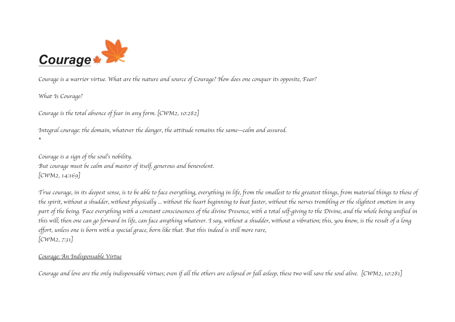

*Courage is a warrior virtue. What are the nature and source of Courage? How does one conquer its opposite, Fear?*

*What Is Courage?*

*Courage is the total absence of fear in any form.* [*CWM2, 10:282*]

*Integral courage: the domain, whatever the danger, the attitude remains the same–calm and assured. \**

*Courage is a sign of the soul*'*s nobility. But courage must be calm and master of itself, generous and benevolent.* [*CWM2, 14:169*]

*True courage, in its deepest sense, is to be able to face everything, everything in life, from the smallest to the greatest things, from material things to those of the spirit, without a shudder, without physically ... without the heart beginning to beat faster, without the nerves trembling or the slightest emotion in any part of the being. Face everything with a constant consciousness of the divine Presence, with a total self-giving to the Divine, and the whole being unified in this will; then one can go forward in life, can face anything whatever. I say, without a shudder, without a vibration; this, you know, is the result of a long effort, unless one is born with a special grace, born like that. But this indeed is still more rare,* [*CWM2, 7:31*]

## *Courage: An Indispensable Virtue*

*Courage and love are the only indispensable virtues; even if all the others are eclipsed or fall asleep, these two will save the soul alive.* [*CWM2, 10:281*]